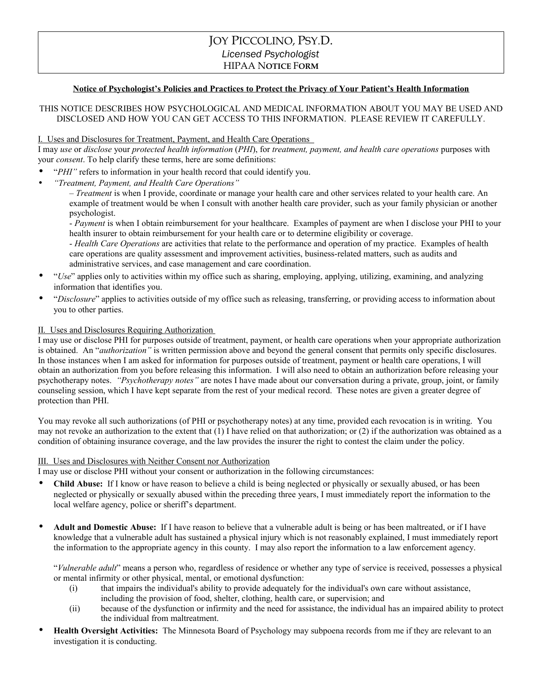# JOY PICCOLINO, PSY.D. *Licensed Psychologist* HIPAA N**OTICE** F**ORM**

### **Notice of Psychologist's Policies and Practices to Protect the Privacy of Your Patient's Health Information**

# THIS NOTICE DESCRIBES HOW PSYCHOLOGICAL AND MEDICAL INFORMATION ABOUT YOU MAY BE USED AND DISCLOSED AND HOW YOU CAN GET ACCESS TO THIS INFORMATION. PLEASE REVIEW IT CAREFULLY.

#### I. Uses and Disclosures for Treatment, Payment, and Health Care Operations

I may *use* or *disclose* your *protected health information* (*PHI*), for *treatment, payment, and health care operations* purposes with your *consent*. To help clarify these terms, here are some definitions:

- "*PHI*" refers to information in your health record that could identify you.
- *"Treatment, Payment, and Health Care Operations"*

– *Treatment* is when I provide, coordinate or manage your health care and other services related to your health care. An example of treatment would be when I consult with another health care provider, such as your family physician or another psychologist.

- *Payment* is when I obtain reimbursement for your healthcare. Examples of payment are when I disclose your PHI to your health insurer to obtain reimbursement for your health care or to determine eligibility or coverage.

- *Health Care Operations* are activities that relate to the performance and operation of my practice. Examples of health care operations are quality assessment and improvement activities, business-related matters, such as audits and administrative services, and case management and care coordination.

- "*Use*" applies only to activities within my office such as sharing, employing, applying, utilizing, examining, and analyzing information that identifies you.
- "*Disclosure*" applies to activities outside of my office such as releasing, transferring, or providing access to information about you to other parties.

#### II. Uses and Disclosures Requiring Authorization

I may use or disclose PHI for purposes outside of treatment, payment, or health care operations when your appropriate authorization is obtained. An "*authorization"* is written permission above and beyond the general consent that permits only specific disclosures. In those instances when I am asked for information for purposes outside of treatment, payment or health care operations, I will obtain an authorization from you before releasing this information. I will also need to obtain an authorization before releasing your psychotherapy notes. *"Psychotherapy notes"* are notes I have made about our conversation during a private, group, joint, or family counseling session, which I have kept separate from the rest of your medical record. These notes are given a greater degree of protection than PHI.

You may revoke all such authorizations (of PHI or psychotherapy notes) at any time, provided each revocation is in writing. You may not revoke an authorization to the extent that (1) I have relied on that authorization; or (2) if the authorization was obtained as a condition of obtaining insurance coverage, and the law provides the insurer the right to contest the claim under the policy.

#### III. Uses and Disclosures with Neither Consent nor Authorization

I may use or disclose PHI without your consent or authorization in the following circumstances:

- **Child Abuse:** If I know or have reason to believe a child is being neglected or physically or sexually abused, or has been neglected or physically or sexually abused within the preceding three years, I must immediately report the information to the local welfare agency, police or sheriff's department.
- **Adult and Domestic Abuse:** If I have reason to believe that a vulnerable adult is being or has been maltreated, or if I have knowledge that a vulnerable adult has sustained a physical injury which is not reasonably explained, I must immediately report the information to the appropriate agency in this county. I may also report the information to a law enforcement agency.

"*Vulnerable adult*" means a person who, regardless of residence or whether any type of service is received, possesses a physical or mental infirmity or other physical, mental, or emotional dysfunction:

- (i) that impairs the individual's ability to provide adequately for the individual's own care without assistance, including the provision of food, shelter, clothing, health care, or supervision; and
- (ii) because of the dysfunction or infirmity and the need for assistance, the individual has an impaired ability to protect the individual from maltreatment.
- **Health Oversight Activities:** The Minnesota Board of Psychology may subpoena records from me if they are relevant to an investigation it is conducting.